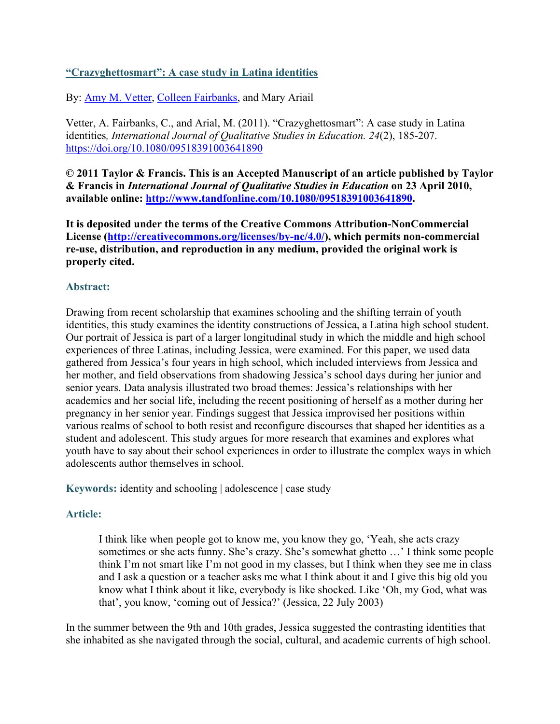# **"Crazyghettosmart": A case study in Latina identities**

By: [Amy M. Vetter,](https://libres.uncg.edu/ir/uncg/clist.aspx?id=25700) [Colleen Fairbanks,](http://libres.uncg.edu/ir/uncg/clist.aspx?id=1077) and Mary Ariail

Vetter, A. Fairbanks, C., and Arial, M. (2011). "Crazyghettosmart": A case study in Latina identities*, International Journal of Qualitative Studies in Education. 24*(2), 185-207. <https://doi.org/10.1080/09518391003641890>

**© 2011 Taylor & Francis. This is an Accepted Manuscript of an article published by Taylor & Francis in** *International Journal of Qualitative Studies in Education* **on 23 April 2010, available online: [http://www.tandfonline.com/10.1080/09518391003641890.](http://www.tandfonline.com/10.1080/09518391003641890)**

**It is deposited under the terms of the Creative Commons Attribution-NonCommercial License [\(http://creativecommons.org/licenses/by-nc/4.0/\)](http://creativecommons.org/licenses/by-nc/4.0/), which permits non-commercial re-use, distribution, and reproduction in any medium, provided the original work is properly cited.**

## **Abstract:**

Drawing from recent scholarship that examines schooling and the shifting terrain of youth identities, this study examines the identity constructions of Jessica, a Latina high school student. Our portrait of Jessica is part of a larger longitudinal study in which the middle and high school experiences of three Latinas, including Jessica, were examined. For this paper, we used data gathered from Jessica's four years in high school, which included interviews from Jessica and her mother, and field observations from shadowing Jessica's school days during her junior and senior years. Data analysis illustrated two broad themes: Jessica's relationships with her academics and her social life, including the recent positioning of herself as a mother during her pregnancy in her senior year. Findings suggest that Jessica improvised her positions within various realms of school to both resist and reconfigure discourses that shaped her identities as a student and adolescent. This study argues for more research that examines and explores what youth have to say about their school experiences in order to illustrate the complex ways in which adolescents author themselves in school.

**Keywords:** identity and schooling | adolescence | case study

# **Article:**

I think like when people got to know me, you know they go, 'Yeah, she acts crazy sometimes or she acts funny. She's crazy. She's somewhat ghetto …' I think some people think I'm not smart like I'm not good in my classes, but I think when they see me in class and I ask a question or a teacher asks me what I think about it and I give this big old you know what I think about it like, everybody is like shocked. Like 'Oh, my God, what was that', you know, 'coming out of Jessica?' (Jessica, 22 July 2003)

In the summer between the 9th and 10th grades, Jessica suggested the contrasting identities that she inhabited as she navigated through the social, cultural, and academic currents of high school.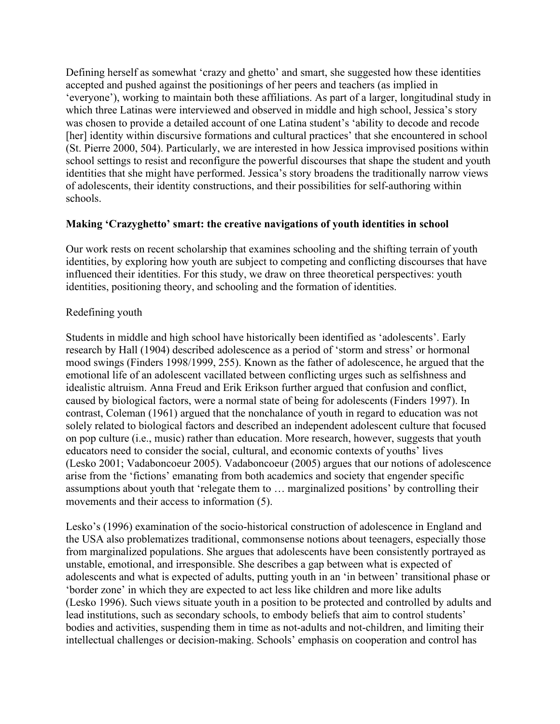Defining herself as somewhat 'crazy and ghetto' and smart, she suggested how these identities accepted and pushed against the positionings of her peers and teachers (as implied in 'everyone'), working to maintain both these affiliations. As part of a larger, longitudinal study in which three Latinas were interviewed and observed in middle and high school, Jessica's story was chosen to provide a detailed account of one Latina student's 'ability to decode and recode [her] identity within discursive formations and cultural practices' that she encountered in school (St. Pierre 2000, 504). Particularly, we are interested in how Jessica improvised positions within school settings to resist and reconfigure the powerful discourses that shape the student and youth identities that she might have performed. Jessica's story broadens the traditionally narrow views of adolescents, their identity constructions, and their possibilities for self‐authoring within schools.

## **Making 'Crazyghetto' smart: the creative navigations of youth identities in school**

Our work rests on recent scholarship that examines schooling and the shifting terrain of youth identities, by exploring how youth are subject to competing and conflicting discourses that have influenced their identities. For this study, we draw on three theoretical perspectives: youth identities, positioning theory, and schooling and the formation of identities.

## Redefining youth

Students in middle and high school have historically been identified as 'adolescents'. Early research by Hall (1904) described adolescence as a period of 'storm and stress' or hormonal mood swings (Finders 1998/1999, 255). Known as the father of adolescence, he argued that the emotional life of an adolescent vacillated between conflicting urges such as selfishness and idealistic altruism. Anna Freud and Erik Erikson further argued that confusion and conflict, caused by biological factors, were a normal state of being for adolescents (Finders 1997). In contrast, Coleman (1961) argued that the nonchalance of youth in regard to education was not solely related to biological factors and described an independent adolescent culture that focused on pop culture (i.e., music) rather than education. More research, however, suggests that youth educators need to consider the social, cultural, and economic contexts of youths' lives (Lesko 2001; Vadaboncoeur 2005). Vadaboncoeur (2005) argues that our notions of adolescence arise from the 'fictions' emanating from both academics and society that engender specific assumptions about youth that 'relegate them to … marginalized positions' by controlling their movements and their access to information (5).

Lesko's (1996) examination of the socio-historical construction of adolescence in England and the USA also problematizes traditional, commonsense notions about teenagers, especially those from marginalized populations. She argues that adolescents have been consistently portrayed as unstable, emotional, and irresponsible. She describes a gap between what is expected of adolescents and what is expected of adults, putting youth in an 'in between' transitional phase or 'border zone' in which they are expected to act less like children and more like adults (Lesko 1996). Such views situate youth in a position to be protected and controlled by adults and lead institutions, such as secondary schools, to embody beliefs that aim to control students' bodies and activities, suspending them in time as not‐adults and not‐children, and limiting their intellectual challenges or decision‐making. Schools' emphasis on cooperation and control has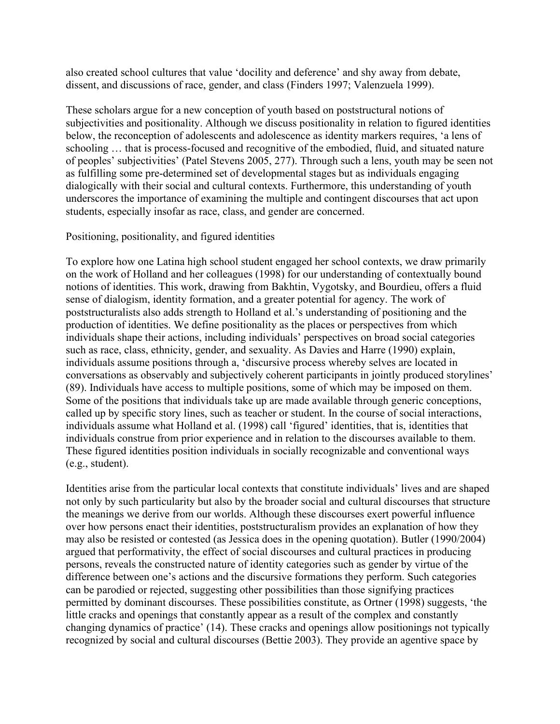also created school cultures that value 'docility and deference' and shy away from debate, dissent, and discussions of race, gender, and class (Finders 1997; Valenzuela 1999).

These scholars argue for a new conception of youth based on poststructural notions of subjectivities and positionality. Although we discuss positionality in relation to figured identities below, the reconception of adolescents and adolescence as identity markers requires, 'a lens of schooling ... that is process-focused and recognitive of the embodied, fluid, and situated nature of peoples' subjectivities' (Patel Stevens 2005, 277). Through such a lens, youth may be seen not as fulfilling some pre‐determined set of developmental stages but as individuals engaging dialogically with their social and cultural contexts. Furthermore, this understanding of youth underscores the importance of examining the multiple and contingent discourses that act upon students, especially insofar as race, class, and gender are concerned.

### Positioning, positionality, and figured identities

To explore how one Latina high school student engaged her school contexts, we draw primarily on the work of Holland and her colleagues (1998) for our understanding of contextually bound notions of identities. This work, drawing from Bakhtin, Vygotsky, and Bourdieu, offers a fluid sense of dialogism, identity formation, and a greater potential for agency. The work of poststructuralists also adds strength to Holland et al.'s understanding of positioning and the production of identities. We define positionality as the places or perspectives from which individuals shape their actions, including individuals' perspectives on broad social categories such as race, class, ethnicity, gender, and sexuality. As Davies and Harre (1990) explain, individuals assume positions through a, 'discursive process whereby selves are located in conversations as observably and subjectively coherent participants in jointly produced storylines' (89). Individuals have access to multiple positions, some of which may be imposed on them. Some of the positions that individuals take up are made available through generic conceptions, called up by specific story lines, such as teacher or student. In the course of social interactions, individuals assume what Holland et al. (1998) call 'figured' identities, that is, identities that individuals construe from prior experience and in relation to the discourses available to them. These figured identities position individuals in socially recognizable and conventional ways (e.g., student).

Identities arise from the particular local contexts that constitute individuals' lives and are shaped not only by such particularity but also by the broader social and cultural discourses that structure the meanings we derive from our worlds. Although these discourses exert powerful influence over how persons enact their identities, poststructuralism provides an explanation of how they may also be resisted or contested (as Jessica does in the opening quotation). Butler (1990/2004) argued that performativity, the effect of social discourses and cultural practices in producing persons, reveals the constructed nature of identity categories such as gender by virtue of the difference between one's actions and the discursive formations they perform. Such categories can be parodied or rejected, suggesting other possibilities than those signifying practices permitted by dominant discourses. These possibilities constitute, as Ortner (1998) suggests, 'the little cracks and openings that constantly appear as a result of the complex and constantly changing dynamics of practice' (14). These cracks and openings allow positionings not typically recognized by social and cultural discourses (Bettie 2003). They provide an agentive space by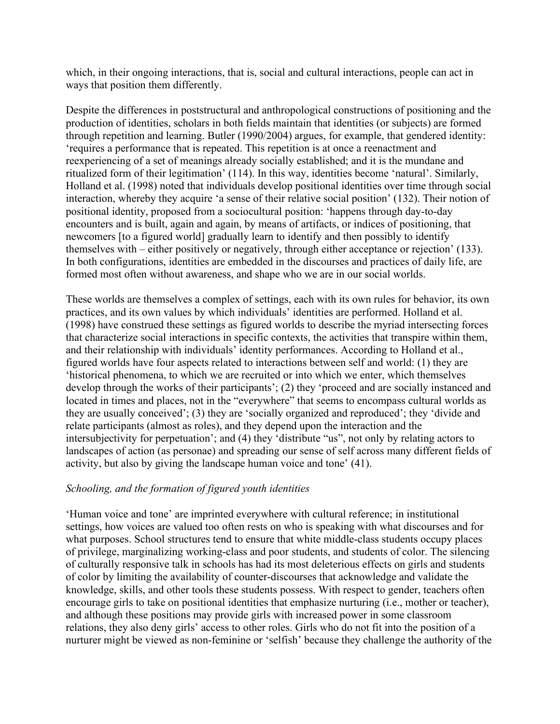which, in their ongoing interactions, that is, social and cultural interactions, people can act in ways that position them differently.

Despite the differences in poststructural and anthropological constructions of positioning and the production of identities, scholars in both fields maintain that identities (or subjects) are formed through repetition and learning. Butler (1990/2004) argues, for example, that gendered identity: 'requires a performance that is repeated. This repetition is at once a reenactment and reexperiencing of a set of meanings already socially established; and it is the mundane and ritualized form of their legitimation' (114). In this way, identities become 'natural'. Similarly, Holland et al. (1998) noted that individuals develop positional identities over time through social interaction, whereby they acquire 'a sense of their relative social position' (132). Their notion of positional identity, proposed from a sociocultural position: 'happens through day‐to‐day encounters and is built, again and again, by means of artifacts, or indices of positioning, that newcomers [to a figured world] gradually learn to identify and then possibly to identify themselves with – either positively or negatively, through either acceptance or rejection' (133). In both configurations, identities are embedded in the discourses and practices of daily life, are formed most often without awareness, and shape who we are in our social worlds.

These worlds are themselves a complex of settings, each with its own rules for behavior, its own practices, and its own values by which individuals' identities are performed. Holland et al. (1998) have construed these settings as figured worlds to describe the myriad intersecting forces that characterize social interactions in specific contexts, the activities that transpire within them, and their relationship with individuals' identity performances. According to Holland et al., figured worlds have four aspects related to interactions between self and world: (1) they are 'historical phenomena, to which we are recruited or into which we enter, which themselves develop through the works of their participants'; (2) they 'proceed and are socially instanced and located in times and places, not in the "everywhere" that seems to encompass cultural worlds as they are usually conceived'; (3) they are 'socially organized and reproduced'; they 'divide and relate participants (almost as roles), and they depend upon the interaction and the intersubjectivity for perpetuation'; and (4) they 'distribute "us", not only by relating actors to landscapes of action (as personae) and spreading our sense of self across many different fields of activity, but also by giving the landscape human voice and tone' (41).

# *Schooling, and the formation of figured youth identities*

'Human voice and tone' are imprinted everywhere with cultural reference; in institutional settings, how voices are valued too often rests on who is speaking with what discourses and for what purposes. School structures tend to ensure that white middle-class students occupy places of privilege, marginalizing working‐class and poor students, and students of color. The silencing of culturally responsive talk in schools has had its most deleterious effects on girls and students of color by limiting the availability of counter‐discourses that acknowledge and validate the knowledge, skills, and other tools these students possess. With respect to gender, teachers often encourage girls to take on positional identities that emphasize nurturing (i.e., mother or teacher), and although these positions may provide girls with increased power in some classroom relations, they also deny girls' access to other roles. Girls who do not fit into the position of a nurturer might be viewed as non-feminine or 'selfish' because they challenge the authority of the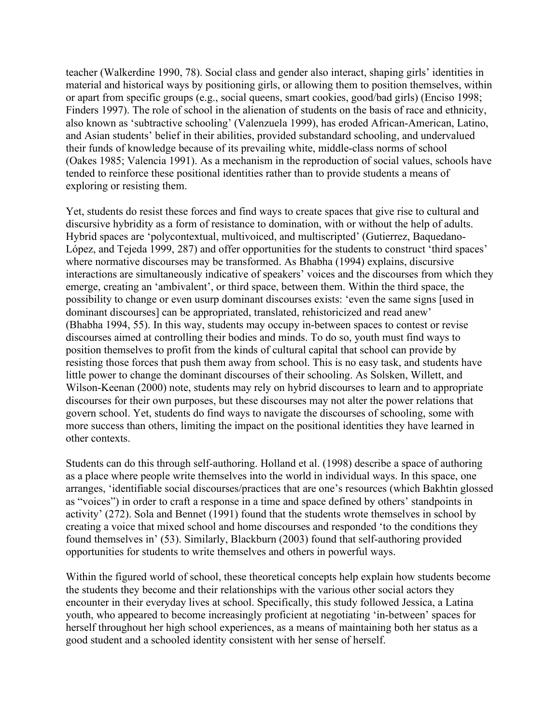teacher (Walkerdine 1990, 78). Social class and gender also interact, shaping girls' identities in material and historical ways by positioning girls, or allowing them to position themselves, within or apart from specific groups (e.g., social queens, smart cookies, good/bad girls) (Enciso 1998; Finders 1997). The role of school in the alienation of students on the basis of race and ethnicity, also known as 'subtractive schooling' (Valenzuela 1999), has eroded African‐American, Latino, and Asian students' belief in their abilities, provided substandard schooling, and undervalued their funds of knowledge because of its prevailing white, middle‐class norms of school (Oakes 1985; Valencia 1991). As a mechanism in the reproduction of social values, schools have tended to reinforce these positional identities rather than to provide students a means of exploring or resisting them.

Yet, students do resist these forces and find ways to create spaces that give rise to cultural and discursive hybridity as a form of resistance to domination, with or without the help of adults. Hybrid spaces are 'polycontextual, multivoiced, and multiscripted' (Gutierrez, Baquedano‐ López, and Tejeda 1999, 287) and offer opportunities for the students to construct 'third spaces' where normative discourses may be transformed. As Bhabha (1994) explains, discursive interactions are simultaneously indicative of speakers' voices and the discourses from which they emerge, creating an 'ambivalent', or third space, between them. Within the third space, the possibility to change or even usurp dominant discourses exists: 'even the same signs [used in dominant discourses] can be appropriated, translated, rehistoricized and read anew' (Bhabha 1994, 55). In this way, students may occupy in‐between spaces to contest or revise discourses aimed at controlling their bodies and minds. To do so, youth must find ways to position themselves to profit from the kinds of cultural capital that school can provide by resisting those forces that push them away from school. This is no easy task, and students have little power to change the dominant discourses of their schooling. As Solsken, Willett, and Wilson-Keenan (2000) note, students may rely on hybrid discourses to learn and to appropriate discourses for their own purposes, but these discourses may not alter the power relations that govern school. Yet, students do find ways to navigate the discourses of schooling, some with more success than others, limiting the impact on the positional identities they have learned in other contexts.

Students can do this through self‐authoring. Holland et al. (1998) describe a space of authoring as a place where people write themselves into the world in individual ways. In this space, one arranges, 'identifiable social discourses/practices that are one's resources (which Bakhtin glossed as "voices") in order to craft a response in a time and space defined by others' standpoints in activity' (272). Sola and Bennet (1991) found that the students wrote themselves in school by creating a voice that mixed school and home discourses and responded 'to the conditions they found themselves in' (53). Similarly, Blackburn (2003) found that self-authoring provided opportunities for students to write themselves and others in powerful ways.

Within the figured world of school, these theoretical concepts help explain how students become the students they become and their relationships with the various other social actors they encounter in their everyday lives at school. Specifically, this study followed Jessica, a Latina youth, who appeared to become increasingly proficient at negotiating 'in‐between' spaces for herself throughout her high school experiences, as a means of maintaining both her status as a good student and a schooled identity consistent with her sense of herself.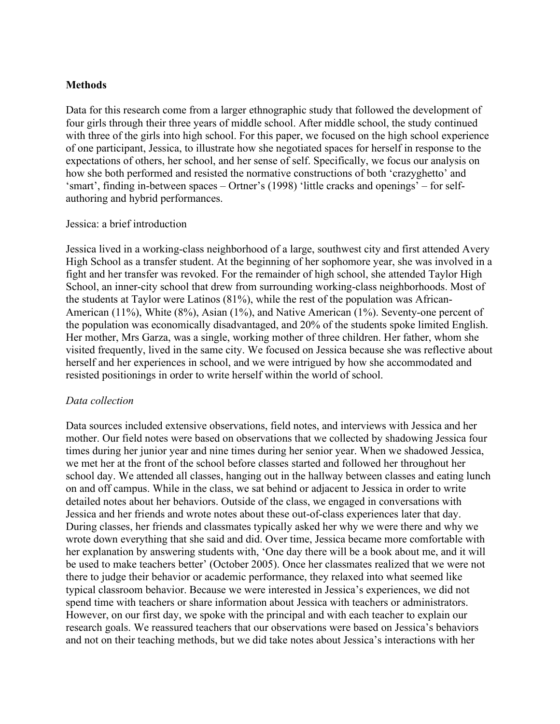### **Methods**

Data for this research come from a larger ethnographic study that followed the development of four girls through their three years of middle school. After middle school, the study continued with three of the girls into high school. For this paper, we focused on the high school experience of one participant, Jessica, to illustrate how she negotiated spaces for herself in response to the expectations of others, her school, and her sense of self. Specifically, we focus our analysis on how she both performed and resisted the normative constructions of both 'crazyghetto' and 'smart', finding in‐between spaces – Ortner's (1998) 'little cracks and openings' – for self‐ authoring and hybrid performances.

#### Jessica: a brief introduction

Jessica lived in a working‐class neighborhood of a large, southwest city and first attended Avery High School as a transfer student. At the beginning of her sophomore year, she was involved in a fight and her transfer was revoked. For the remainder of high school, she attended Taylor High School, an inner-city school that drew from surrounding working-class neighborhoods. Most of the students at Taylor were Latinos (81%), while the rest of the population was African-American (11%), White (8%), Asian (1%), and Native American (1%). Seventy-one percent of the population was economically disadvantaged, and 20% of the students spoke limited English. Her mother, Mrs Garza, was a single, working mother of three children. Her father, whom she visited frequently, lived in the same city. We focused on Jessica because she was reflective about herself and her experiences in school, and we were intrigued by how she accommodated and resisted positionings in order to write herself within the world of school.

#### *Data collection*

Data sources included extensive observations, field notes, and interviews with Jessica and her mother. Our field notes were based on observations that we collected by shadowing Jessica four times during her junior year and nine times during her senior year. When we shadowed Jessica, we met her at the front of the school before classes started and followed her throughout her school day. We attended all classes, hanging out in the hallway between classes and eating lunch on and off campus. While in the class, we sat behind or adjacent to Jessica in order to write detailed notes about her behaviors. Outside of the class, we engaged in conversations with Jessica and her friends and wrote notes about these out‐of‐class experiences later that day. During classes, her friends and classmates typically asked her why we were there and why we wrote down everything that she said and did. Over time, Jessica became more comfortable with her explanation by answering students with, 'One day there will be a book about me, and it will be used to make teachers better' (October 2005). Once her classmates realized that we were not there to judge their behavior or academic performance, they relaxed into what seemed like typical classroom behavior. Because we were interested in Jessica's experiences, we did not spend time with teachers or share information about Jessica with teachers or administrators. However, on our first day, we spoke with the principal and with each teacher to explain our research goals. We reassured teachers that our observations were based on Jessica's behaviors and not on their teaching methods, but we did take notes about Jessica's interactions with her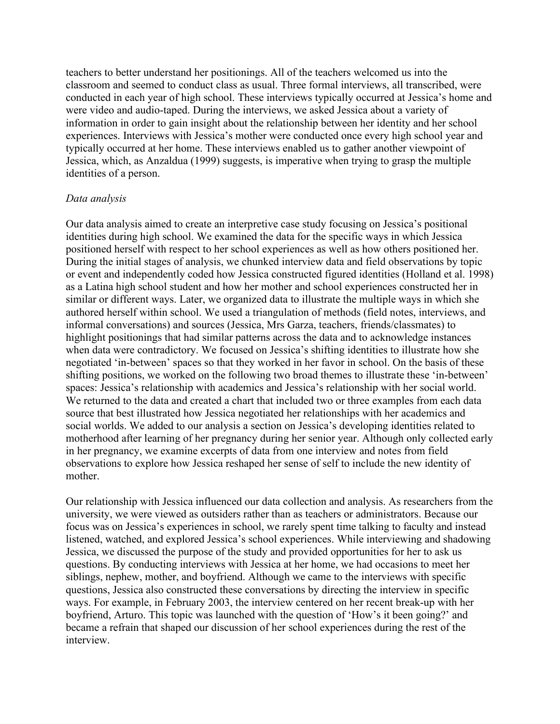teachers to better understand her positionings. All of the teachers welcomed us into the classroom and seemed to conduct class as usual. Three formal interviews, all transcribed, were conducted in each year of high school. These interviews typically occurred at Jessica's home and were video and audio-taped. During the interviews, we asked Jessica about a variety of information in order to gain insight about the relationship between her identity and her school experiences. Interviews with Jessica's mother were conducted once every high school year and typically occurred at her home. These interviews enabled us to gather another viewpoint of Jessica, which, as Anzaldua (1999) suggests, is imperative when trying to grasp the multiple identities of a person.

### *Data analysis*

Our data analysis aimed to create an interpretive case study focusing on Jessica's positional identities during high school. We examined the data for the specific ways in which Jessica positioned herself with respect to her school experiences as well as how others positioned her. During the initial stages of analysis, we chunked interview data and field observations by topic or event and independently coded how Jessica constructed figured identities (Holland et al. 1998) as a Latina high school student and how her mother and school experiences constructed her in similar or different ways. Later, we organized data to illustrate the multiple ways in which she authored herself within school. We used a triangulation of methods (field notes, interviews, and informal conversations) and sources (Jessica, Mrs Garza, teachers, friends/classmates) to highlight positionings that had similar patterns across the data and to acknowledge instances when data were contradictory. We focused on Jessica's shifting identities to illustrate how she negotiated 'in‐between' spaces so that they worked in her favor in school. On the basis of these shifting positions, we worked on the following two broad themes to illustrate these 'in-between' spaces: Jessica's relationship with academics and Jessica's relationship with her social world. We returned to the data and created a chart that included two or three examples from each data source that best illustrated how Jessica negotiated her relationships with her academics and social worlds. We added to our analysis a section on Jessica's developing identities related to motherhood after learning of her pregnancy during her senior year. Although only collected early in her pregnancy, we examine excerpts of data from one interview and notes from field observations to explore how Jessica reshaped her sense of self to include the new identity of mother.

Our relationship with Jessica influenced our data collection and analysis. As researchers from the university, we were viewed as outsiders rather than as teachers or administrators. Because our focus was on Jessica's experiences in school, we rarely spent time talking to faculty and instead listened, watched, and explored Jessica's school experiences. While interviewing and shadowing Jessica, we discussed the purpose of the study and provided opportunities for her to ask us questions. By conducting interviews with Jessica at her home, we had occasions to meet her siblings, nephew, mother, and boyfriend. Although we came to the interviews with specific questions, Jessica also constructed these conversations by directing the interview in specific ways. For example, in February 2003, the interview centered on her recent break‐up with her boyfriend, Arturo. This topic was launched with the question of 'How's it been going?' and became a refrain that shaped our discussion of her school experiences during the rest of the interview.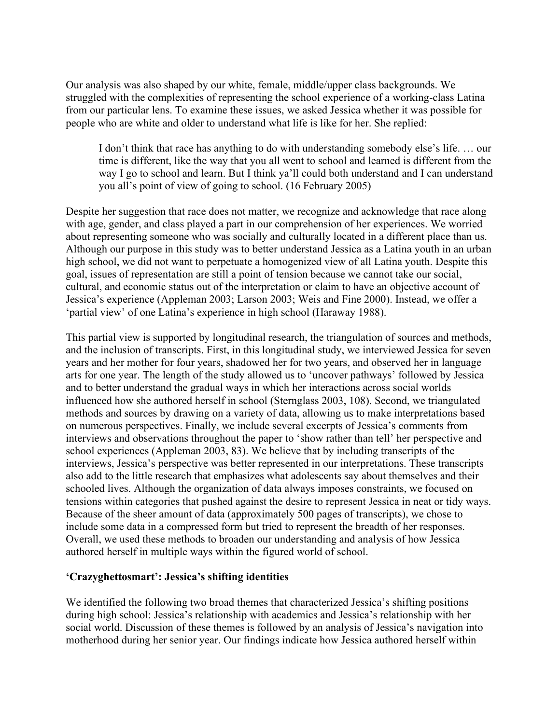Our analysis was also shaped by our white, female, middle/upper class backgrounds. We struggled with the complexities of representing the school experience of a working-class Latina from our particular lens. To examine these issues, we asked Jessica whether it was possible for people who are white and older to understand what life is like for her. She replied:

I don't think that race has anything to do with understanding somebody else's life. … our time is different, like the way that you all went to school and learned is different from the way I go to school and learn. But I think ya'll could both understand and I can understand you all's point of view of going to school. (16 February 2005)

Despite her suggestion that race does not matter, we recognize and acknowledge that race along with age, gender, and class played a part in our comprehension of her experiences. We worried about representing someone who was socially and culturally located in a different place than us. Although our purpose in this study was to better understand Jessica as a Latina youth in an urban high school, we did not want to perpetuate a homogenized view of all Latina youth. Despite this goal, issues of representation are still a point of tension because we cannot take our social, cultural, and economic status out of the interpretation or claim to have an objective account of Jessica's experience (Appleman 2003; Larson 2003; Weis and Fine 2000). Instead, we offer a 'partial view' of one Latina's experience in high school (Haraway 1988).

This partial view is supported by longitudinal research, the triangulation of sources and methods, and the inclusion of transcripts. First, in this longitudinal study, we interviewed Jessica for seven years and her mother for four years, shadowed her for two years, and observed her in language arts for one year. The length of the study allowed us to 'uncover pathways' followed by Jessica and to better understand the gradual ways in which her interactions across social worlds influenced how she authored herself in school (Sternglass 2003, 108). Second, we triangulated methods and sources by drawing on a variety of data, allowing us to make interpretations based on numerous perspectives. Finally, we include several excerpts of Jessica's comments from interviews and observations throughout the paper to 'show rather than tell' her perspective and school experiences (Appleman 2003, 83). We believe that by including transcripts of the interviews, Jessica's perspective was better represented in our interpretations. These transcripts also add to the little research that emphasizes what adolescents say about themselves and their schooled lives. Although the organization of data always imposes constraints, we focused on tensions within categories that pushed against the desire to represent Jessica in neat or tidy ways. Because of the sheer amount of data (approximately 500 pages of transcripts), we chose to include some data in a compressed form but tried to represent the breadth of her responses. Overall, we used these methods to broaden our understanding and analysis of how Jessica authored herself in multiple ways within the figured world of school.

### **'Crazyghettosmart': Jessica's shifting identities**

We identified the following two broad themes that characterized Jessica's shifting positions during high school: Jessica's relationship with academics and Jessica's relationship with her social world. Discussion of these themes is followed by an analysis of Jessica's navigation into motherhood during her senior year. Our findings indicate how Jessica authored herself within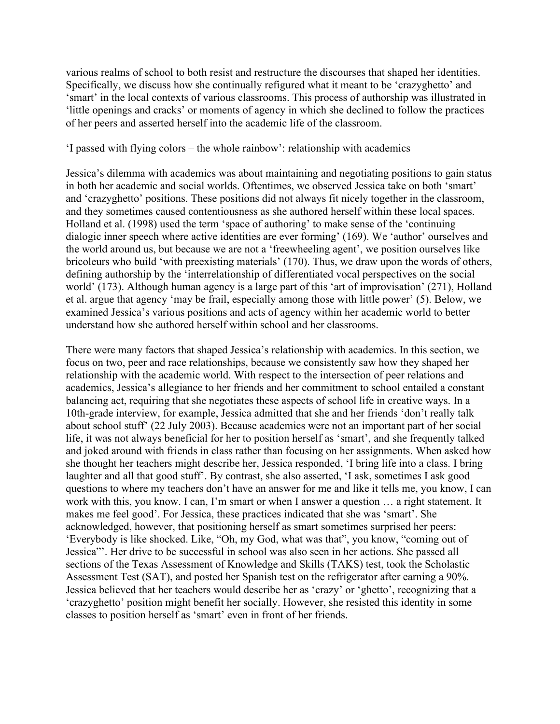various realms of school to both resist and restructure the discourses that shaped her identities. Specifically, we discuss how she continually refigured what it meant to be 'crazyghetto' and 'smart' in the local contexts of various classrooms. This process of authorship was illustrated in 'little openings and cracks' or moments of agency in which she declined to follow the practices of her peers and asserted herself into the academic life of the classroom.

#### 'I passed with flying colors – the whole rainbow': relationship with academics

Jessica's dilemma with academics was about maintaining and negotiating positions to gain status in both her academic and social worlds. Oftentimes, we observed Jessica take on both 'smart' and 'crazyghetto' positions. These positions did not always fit nicely together in the classroom, and they sometimes caused contentiousness as she authored herself within these local spaces. Holland et al. (1998) used the term 'space of authoring' to make sense of the 'continuing dialogic inner speech where active identities are ever forming' (169). We 'author' ourselves and the world around us, but because we are not a 'freewheeling agent', we position ourselves like bricoleurs who build 'with preexisting materials' (170). Thus, we draw upon the words of others, defining authorship by the 'interrelationship of differentiated vocal perspectives on the social world' (173). Although human agency is a large part of this 'art of improvisation' (271), Holland et al. argue that agency 'may be frail, especially among those with little power' (5). Below, we examined Jessica's various positions and acts of agency within her academic world to better understand how she authored herself within school and her classrooms.

There were many factors that shaped Jessica's relationship with academics. In this section, we focus on two, peer and race relationships, because we consistently saw how they shaped her relationship with the academic world. With respect to the intersection of peer relations and academics, Jessica's allegiance to her friends and her commitment to school entailed a constant balancing act, requiring that she negotiates these aspects of school life in creative ways. In a 10th‐grade interview, for example, Jessica admitted that she and her friends 'don't really talk about school stuff' (22 July 2003). Because academics were not an important part of her social life, it was not always beneficial for her to position herself as 'smart', and she frequently talked and joked around with friends in class rather than focusing on her assignments. When asked how she thought her teachers might describe her, Jessica responded, 'I bring life into a class. I bring laughter and all that good stuff'. By contrast, she also asserted, 'I ask, sometimes I ask good questions to where my teachers don't have an answer for me and like it tells me, you know, I can work with this, you know. I can, I'm smart or when I answer a question … a right statement. It makes me feel good'. For Jessica, these practices indicated that she was 'smart'. She acknowledged, however, that positioning herself as smart sometimes surprised her peers: 'Everybody is like shocked. Like, "Oh, my God, what was that", you know, "coming out of Jessica"'. Her drive to be successful in school was also seen in her actions. She passed all sections of the Texas Assessment of Knowledge and Skills (TAKS) test, took the Scholastic Assessment Test (SAT), and posted her Spanish test on the refrigerator after earning a 90%. Jessica believed that her teachers would describe her as 'crazy' or 'ghetto', recognizing that a 'crazyghetto' position might benefit her socially. However, she resisted this identity in some classes to position herself as 'smart' even in front of her friends.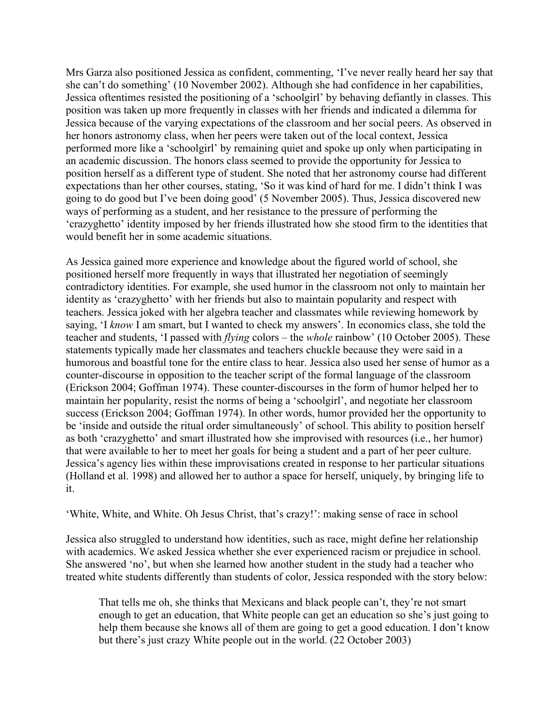Mrs Garza also positioned Jessica as confident, commenting, 'I've never really heard her say that she can't do something' (10 November 2002). Although she had confidence in her capabilities, Jessica oftentimes resisted the positioning of a 'schoolgirl' by behaving defiantly in classes. This position was taken up more frequently in classes with her friends and indicated a dilemma for Jessica because of the varying expectations of the classroom and her social peers. As observed in her honors astronomy class, when her peers were taken out of the local context, Jessica performed more like a 'schoolgirl' by remaining quiet and spoke up only when participating in an academic discussion. The honors class seemed to provide the opportunity for Jessica to position herself as a different type of student. She noted that her astronomy course had different expectations than her other courses, stating, 'So it was kind of hard for me. I didn't think I was going to do good but I've been doing good' (5 November 2005). Thus, Jessica discovered new ways of performing as a student, and her resistance to the pressure of performing the 'crazyghetto' identity imposed by her friends illustrated how she stood firm to the identities that would benefit her in some academic situations.

As Jessica gained more experience and knowledge about the figured world of school, she positioned herself more frequently in ways that illustrated her negotiation of seemingly contradictory identities. For example, she used humor in the classroom not only to maintain her identity as 'crazyghetto' with her friends but also to maintain popularity and respect with teachers. Jessica joked with her algebra teacher and classmates while reviewing homework by saying, 'I *know* I am smart, but I wanted to check my answers'. In economics class, she told the teacher and students, 'I passed with *flying* colors – the *whole* rainbow' (10 October 2005). These statements typically made her classmates and teachers chuckle because they were said in a humorous and boastful tone for the entire class to hear. Jessica also used her sense of humor as a counter‐discourse in opposition to the teacher script of the formal language of the classroom (Erickson 2004; Goffman 1974). These counter‐discourses in the form of humor helped her to maintain her popularity, resist the norms of being a 'schoolgirl', and negotiate her classroom success (Erickson 2004; Goffman 1974). In other words, humor provided her the opportunity to be 'inside and outside the ritual order simultaneously' of school. This ability to position herself as both 'crazyghetto' and smart illustrated how she improvised with resources (i.e., her humor) that were available to her to meet her goals for being a student and a part of her peer culture. Jessica's agency lies within these improvisations created in response to her particular situations (Holland et al. 1998) and allowed her to author a space for herself, uniquely, by bringing life to it.

'White, White, and White. Oh Jesus Christ, that's crazy!': making sense of race in school

Jessica also struggled to understand how identities, such as race, might define her relationship with academics. We asked Jessica whether she ever experienced racism or prejudice in school. She answered 'no', but when she learned how another student in the study had a teacher who treated white students differently than students of color, Jessica responded with the story below:

That tells me oh, she thinks that Mexicans and black people can't, they're not smart enough to get an education, that White people can get an education so she's just going to help them because she knows all of them are going to get a good education. I don't know but there's just crazy White people out in the world. (22 October 2003)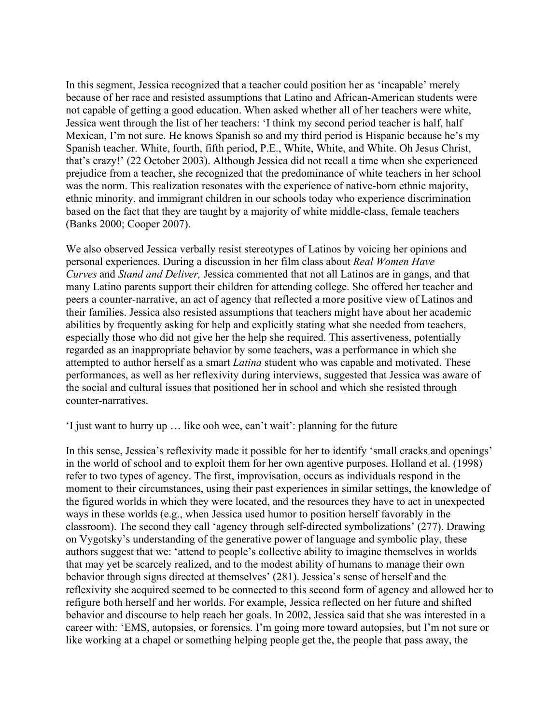In this segment, Jessica recognized that a teacher could position her as 'incapable' merely because of her race and resisted assumptions that Latino and African-American students were not capable of getting a good education. When asked whether all of her teachers were white, Jessica went through the list of her teachers: 'I think my second period teacher is half, half Mexican, I'm not sure. He knows Spanish so and my third period is Hispanic because he's my Spanish teacher. White, fourth, fifth period, P.E., White, White, and White. Oh Jesus Christ, that's crazy!' (22 October 2003). Although Jessica did not recall a time when she experienced prejudice from a teacher, she recognized that the predominance of white teachers in her school was the norm. This realization resonates with the experience of native-born ethnic majority, ethnic minority, and immigrant children in our schools today who experience discrimination based on the fact that they are taught by a majority of white middle‐class, female teachers (Banks 2000; Cooper 2007).

We also observed Jessica verbally resist stereotypes of Latinos by voicing her opinions and personal experiences. During a discussion in her film class about *Real Women Have Curves* and *Stand and Deliver,* Jessica commented that not all Latinos are in gangs, and that many Latino parents support their children for attending college. She offered her teacher and peers a counter‐narrative, an act of agency that reflected a more positive view of Latinos and their families. Jessica also resisted assumptions that teachers might have about her academic abilities by frequently asking for help and explicitly stating what she needed from teachers, especially those who did not give her the help she required. This assertiveness, potentially regarded as an inappropriate behavior by some teachers, was a performance in which she attempted to author herself as a smart *Latina* student who was capable and motivated. These performances, as well as her reflexivity during interviews, suggested that Jessica was aware of the social and cultural issues that positioned her in school and which she resisted through counter‐narratives.

### 'I just want to hurry up … like ooh wee, can't wait': planning for the future

In this sense, Jessica's reflexivity made it possible for her to identify 'small cracks and openings' in the world of school and to exploit them for her own agentive purposes. Holland et al. (1998) refer to two types of agency. The first, improvisation, occurs as individuals respond in the moment to their circumstances, using their past experiences in similar settings, the knowledge of the figured worlds in which they were located, and the resources they have to act in unexpected ways in these worlds (e.g., when Jessica used humor to position herself favorably in the classroom). The second they call 'agency through self‐directed symbolizations' (277). Drawing on Vygotsky's understanding of the generative power of language and symbolic play, these authors suggest that we: 'attend to people's collective ability to imagine themselves in worlds that may yet be scarcely realized, and to the modest ability of humans to manage their own behavior through signs directed at themselves' (281). Jessica's sense of herself and the reflexivity she acquired seemed to be connected to this second form of agency and allowed her to refigure both herself and her worlds. For example, Jessica reflected on her future and shifted behavior and discourse to help reach her goals. In 2002, Jessica said that she was interested in a career with: 'EMS, autopsies, or forensics. I'm going more toward autopsies, but I'm not sure or like working at a chapel or something helping people get the, the people that pass away, the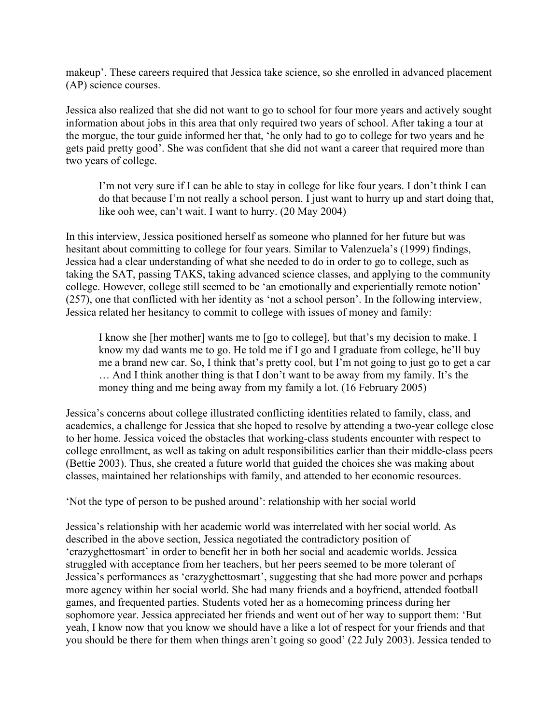makeup'. These careers required that Jessica take science, so she enrolled in advanced placement (AP) science courses.

Jessica also realized that she did not want to go to school for four more years and actively sought information about jobs in this area that only required two years of school. After taking a tour at the morgue, the tour guide informed her that, 'he only had to go to college for two years and he gets paid pretty good'. She was confident that she did not want a career that required more than two years of college.

I'm not very sure if I can be able to stay in college for like four years. I don't think I can do that because I'm not really a school person. I just want to hurry up and start doing that, like ooh wee, can't wait. I want to hurry. (20 May 2004)

In this interview, Jessica positioned herself as someone who planned for her future but was hesitant about committing to college for four years. Similar to Valenzuela's (1999) findings, Jessica had a clear understanding of what she needed to do in order to go to college, such as taking the SAT, passing TAKS, taking advanced science classes, and applying to the community college. However, college still seemed to be 'an emotionally and experientially remote notion' (257), one that conflicted with her identity as 'not a school person'. In the following interview, Jessica related her hesitancy to commit to college with issues of money and family:

I know she [her mother] wants me to [go to college], but that's my decision to make. I know my dad wants me to go. He told me if I go and I graduate from college, he'll buy me a brand new car. So, I think that's pretty cool, but I'm not going to just go to get a car … And I think another thing is that I don't want to be away from my family. It's the money thing and me being away from my family a lot. (16 February 2005)

Jessica's concerns about college illustrated conflicting identities related to family, class, and academics, a challenge for Jessica that she hoped to resolve by attending a two‐year college close to her home. Jessica voiced the obstacles that working‐class students encounter with respect to college enrollment, as well as taking on adult responsibilities earlier than their middle‐class peers (Bettie 2003). Thus, she created a future world that guided the choices she was making about classes, maintained her relationships with family, and attended to her economic resources.

'Not the type of person to be pushed around': relationship with her social world

Jessica's relationship with her academic world was interrelated with her social world. As described in the above section, Jessica negotiated the contradictory position of 'crazyghettosmart' in order to benefit her in both her social and academic worlds. Jessica struggled with acceptance from her teachers, but her peers seemed to be more tolerant of Jessica's performances as 'crazyghettosmart', suggesting that she had more power and perhaps more agency within her social world. She had many friends and a boyfriend, attended football games, and frequented parties. Students voted her as a homecoming princess during her sophomore year. Jessica appreciated her friends and went out of her way to support them: 'But yeah, I know now that you know we should have a like a lot of respect for your friends and that you should be there for them when things aren't going so good' (22 July 2003). Jessica tended to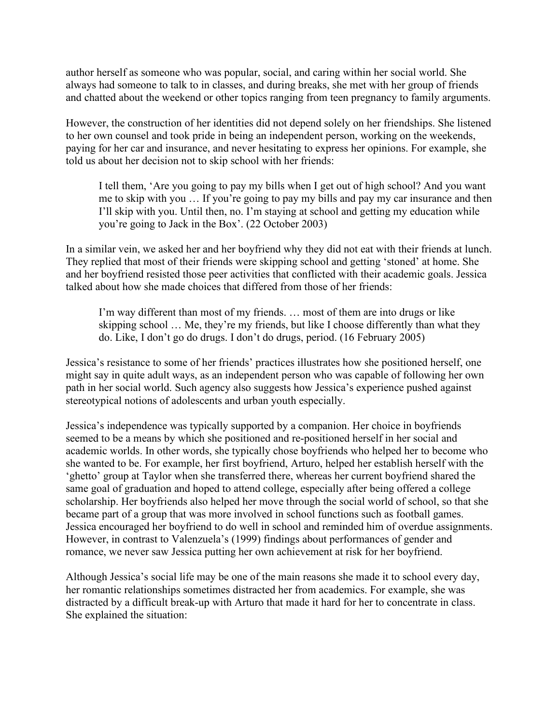author herself as someone who was popular, social, and caring within her social world. She always had someone to talk to in classes, and during breaks, she met with her group of friends and chatted about the weekend or other topics ranging from teen pregnancy to family arguments.

However, the construction of her identities did not depend solely on her friendships. She listened to her own counsel and took pride in being an independent person, working on the weekends, paying for her car and insurance, and never hesitating to express her opinions. For example, she told us about her decision not to skip school with her friends:

I tell them, 'Are you going to pay my bills when I get out of high school? And you want me to skip with you … If you're going to pay my bills and pay my car insurance and then I'll skip with you. Until then, no. I'm staying at school and getting my education while you're going to Jack in the Box'. (22 October 2003)

In a similar vein, we asked her and her boyfriend why they did not eat with their friends at lunch. They replied that most of their friends were skipping school and getting 'stoned' at home. She and her boyfriend resisted those peer activities that conflicted with their academic goals. Jessica talked about how she made choices that differed from those of her friends:

I'm way different than most of my friends. … most of them are into drugs or like skipping school … Me, they're my friends, but like I choose differently than what they do. Like, I don't go do drugs. I don't do drugs, period. (16 February 2005)

Jessica's resistance to some of her friends' practices illustrates how she positioned herself, one might say in quite adult ways, as an independent person who was capable of following her own path in her social world. Such agency also suggests how Jessica's experience pushed against stereotypical notions of adolescents and urban youth especially.

Jessica's independence was typically supported by a companion. Her choice in boyfriends seemed to be a means by which she positioned and re-positioned herself in her social and academic worlds. In other words, she typically chose boyfriends who helped her to become who she wanted to be. For example, her first boyfriend, Arturo, helped her establish herself with the 'ghetto' group at Taylor when she transferred there, whereas her current boyfriend shared the same goal of graduation and hoped to attend college, especially after being offered a college scholarship. Her boyfriends also helped her move through the social world of school, so that she became part of a group that was more involved in school functions such as football games. Jessica encouraged her boyfriend to do well in school and reminded him of overdue assignments. However, in contrast to Valenzuela's (1999) findings about performances of gender and romance, we never saw Jessica putting her own achievement at risk for her boyfriend.

Although Jessica's social life may be one of the main reasons she made it to school every day, her romantic relationships sometimes distracted her from academics. For example, she was distracted by a difficult break‐up with Arturo that made it hard for her to concentrate in class. She explained the situation: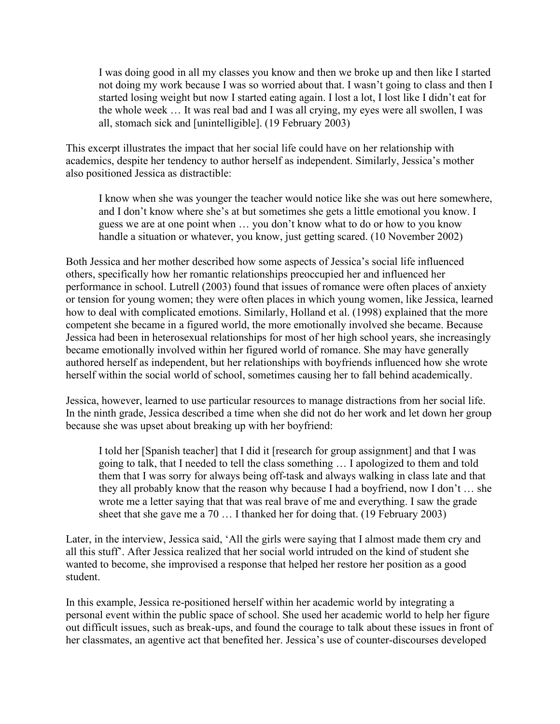I was doing good in all my classes you know and then we broke up and then like I started not doing my work because I was so worried about that. I wasn't going to class and then I started losing weight but now I started eating again. I lost a lot, I lost like I didn't eat for the whole week … It was real bad and I was all crying, my eyes were all swollen, I was all, stomach sick and [unintelligible]. (19 February 2003)

This excerpt illustrates the impact that her social life could have on her relationship with academics, despite her tendency to author herself as independent. Similarly, Jessica's mother also positioned Jessica as distractible:

I know when she was younger the teacher would notice like she was out here somewhere, and I don't know where she's at but sometimes she gets a little emotional you know. I guess we are at one point when … you don't know what to do or how to you know handle a situation or whatever, you know, just getting scared. (10 November 2002)

Both Jessica and her mother described how some aspects of Jessica's social life influenced others, specifically how her romantic relationships preoccupied her and influenced her performance in school. Lutrell (2003) found that issues of romance were often places of anxiety or tension for young women; they were often places in which young women, like Jessica, learned how to deal with complicated emotions. Similarly, Holland et al. (1998) explained that the more competent she became in a figured world, the more emotionally involved she became. Because Jessica had been in heterosexual relationships for most of her high school years, she increasingly became emotionally involved within her figured world of romance. She may have generally authored herself as independent, but her relationships with boyfriends influenced how she wrote herself within the social world of school, sometimes causing her to fall behind academically.

Jessica, however, learned to use particular resources to manage distractions from her social life. In the ninth grade, Jessica described a time when she did not do her work and let down her group because she was upset about breaking up with her boyfriend:

I told her [Spanish teacher] that I did it [research for group assignment] and that I was going to talk, that I needed to tell the class something … I apologized to them and told them that I was sorry for always being off‐task and always walking in class late and that they all probably know that the reason why because I had a boyfriend, now I don't … she wrote me a letter saying that that was real brave of me and everything. I saw the grade sheet that she gave me a 70 … I thanked her for doing that. (19 February 2003)

Later, in the interview, Jessica said, 'All the girls were saying that I almost made them cry and all this stuff'. After Jessica realized that her social world intruded on the kind of student she wanted to become, she improvised a response that helped her restore her position as a good student.

In this example, Jessica re-positioned herself within her academic world by integrating a personal event within the public space of school. She used her academic world to help her figure out difficult issues, such as break‐ups, and found the courage to talk about these issues in front of her classmates, an agentive act that benefited her. Jessica's use of counter-discourses developed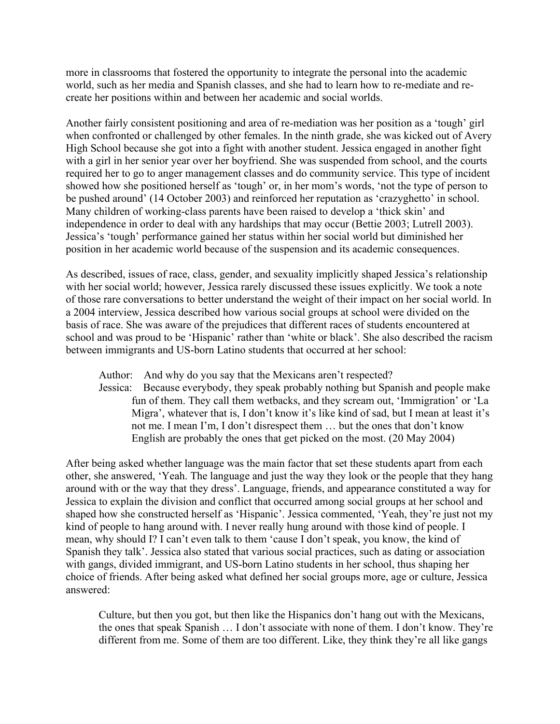more in classrooms that fostered the opportunity to integrate the personal into the academic world, such as her media and Spanish classes, and she had to learn how to re-mediate and recreate her positions within and between her academic and social worlds.

Another fairly consistent positioning and area of re‐mediation was her position as a 'tough' girl when confronted or challenged by other females. In the ninth grade, she was kicked out of Avery High School because she got into a fight with another student. Jessica engaged in another fight with a girl in her senior year over her boyfriend. She was suspended from school, and the courts required her to go to anger management classes and do community service. This type of incident showed how she positioned herself as 'tough' or, in her mom's words, 'not the type of person to be pushed around' (14 October 2003) and reinforced her reputation as 'crazyghetto' in school. Many children of working-class parents have been raised to develop a 'thick skin' and independence in order to deal with any hardships that may occur (Bettie 2003; Lutrell 2003). Jessica's 'tough' performance gained her status within her social world but diminished her position in her academic world because of the suspension and its academic consequences.

As described, issues of race, class, gender, and sexuality implicitly shaped Jessica's relationship with her social world; however, Jessica rarely discussed these issues explicitly. We took a note of those rare conversations to better understand the weight of their impact on her social world. In a 2004 interview, Jessica described how various social groups at school were divided on the basis of race. She was aware of the prejudices that different races of students encountered at school and was proud to be 'Hispanic' rather than 'white or black'. She also described the racism between immigrants and US-born Latino students that occurred at her school:

Author: And why do you say that the Mexicans aren't respected?

Jessica: Because everybody, they speak probably nothing but Spanish and people make fun of them. They call them wetbacks, and they scream out, 'Immigration' or 'La Migra', whatever that is, I don't know it's like kind of sad, but I mean at least it's not me. I mean I'm, I don't disrespect them … but the ones that don't know English are probably the ones that get picked on the most. (20 May 2004)

After being asked whether language was the main factor that set these students apart from each other, she answered, 'Yeah. The language and just the way they look or the people that they hang around with or the way that they dress'. Language, friends, and appearance constituted a way for Jessica to explain the division and conflict that occurred among social groups at her school and shaped how she constructed herself as 'Hispanic'. Jessica commented, 'Yeah, they're just not my kind of people to hang around with. I never really hung around with those kind of people. I mean, why should I? I can't even talk to them 'cause I don't speak, you know, the kind of Spanish they talk'. Jessica also stated that various social practices, such as dating or association with gangs, divided immigrant, and US-born Latino students in her school, thus shaping her choice of friends. After being asked what defined her social groups more, age or culture, Jessica answered:

Culture, but then you got, but then like the Hispanics don't hang out with the Mexicans, the ones that speak Spanish … I don't associate with none of them. I don't know. They're different from me. Some of them are too different. Like, they think they're all like gangs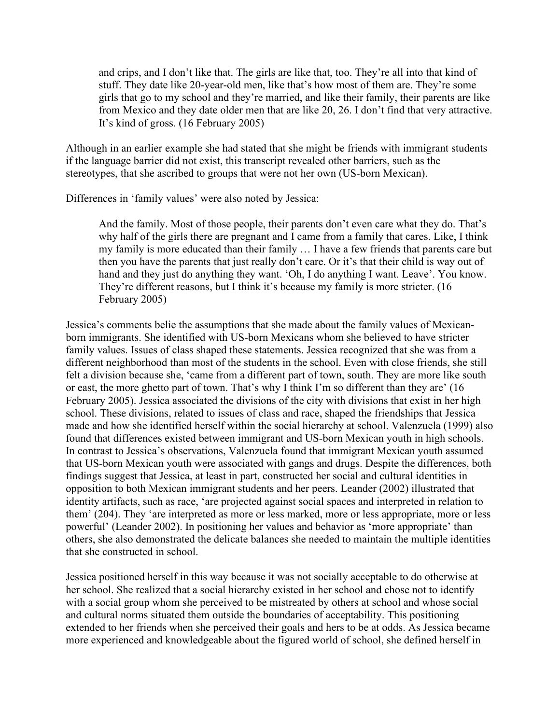and crips, and I don't like that. The girls are like that, too. They're all into that kind of stuff. They date like 20‐year‐old men, like that's how most of them are. They're some girls that go to my school and they're married, and like their family, their parents are like from Mexico and they date older men that are like 20, 26. I don't find that very attractive. It's kind of gross. (16 February 2005)

Although in an earlier example she had stated that she might be friends with immigrant students if the language barrier did not exist, this transcript revealed other barriers, such as the stereotypes, that she ascribed to groups that were not her own (US-born Mexican).

Differences in 'family values' were also noted by Jessica:

And the family. Most of those people, their parents don't even care what they do. That's why half of the girls there are pregnant and I came from a family that cares. Like, I think my family is more educated than their family … I have a few friends that parents care but then you have the parents that just really don't care. Or it's that their child is way out of hand and they just do anything they want. 'Oh, I do anything I want. Leave'. You know. They're different reasons, but I think it's because my family is more stricter. (16 February 2005)

Jessica's comments belie the assumptions that she made about the family values of Mexican‐ born immigrants. She identified with US‐born Mexicans whom she believed to have stricter family values. Issues of class shaped these statements. Jessica recognized that she was from a different neighborhood than most of the students in the school. Even with close friends, she still felt a division because she, 'came from a different part of town, south. They are more like south or east, the more ghetto part of town. That's why I think I'm so different than they are' (16 February 2005). Jessica associated the divisions of the city with divisions that exist in her high school. These divisions, related to issues of class and race, shaped the friendships that Jessica made and how she identified herself within the social hierarchy at school. Valenzuela (1999) also found that differences existed between immigrant and US‐born Mexican youth in high schools. In contrast to Jessica's observations, Valenzuela found that immigrant Mexican youth assumed that US‐born Mexican youth were associated with gangs and drugs. Despite the differences, both findings suggest that Jessica, at least in part, constructed her social and cultural identities in opposition to both Mexican immigrant students and her peers. Leander (2002) illustrated that identity artifacts, such as race, 'are projected against social spaces and interpreted in relation to them' (204). They 'are interpreted as more or less marked, more or less appropriate, more or less powerful' (Leander 2002). In positioning her values and behavior as 'more appropriate' than others, she also demonstrated the delicate balances she needed to maintain the multiple identities that she constructed in school.

Jessica positioned herself in this way because it was not socially acceptable to do otherwise at her school. She realized that a social hierarchy existed in her school and chose not to identify with a social group whom she perceived to be mistreated by others at school and whose social and cultural norms situated them outside the boundaries of acceptability. This positioning extended to her friends when she perceived their goals and hers to be at odds. As Jessica became more experienced and knowledgeable about the figured world of school, she defined herself in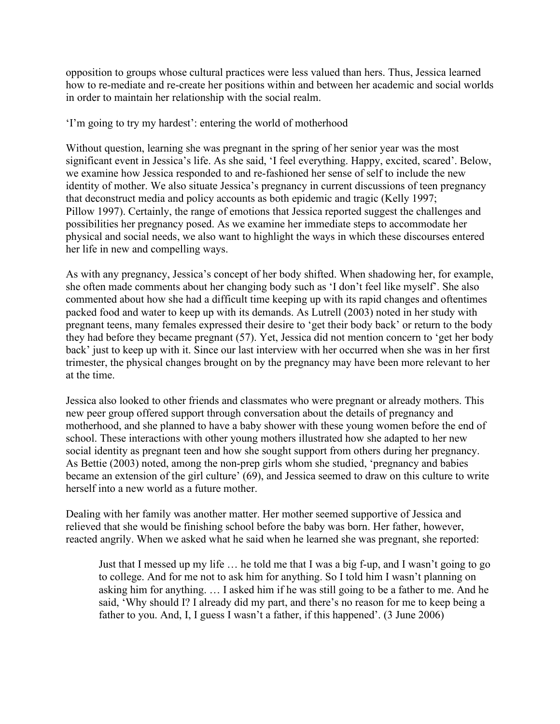opposition to groups whose cultural practices were less valued than hers. Thus, Jessica learned how to re-mediate and re-create her positions within and between her academic and social worlds in order to maintain her relationship with the social realm.

## 'I'm going to try my hardest': entering the world of motherhood

Without question, learning she was pregnant in the spring of her senior year was the most significant event in Jessica's life. As she said, 'I feel everything. Happy, excited, scared'. Below, we examine how Jessica responded to and re‐fashioned her sense of self to include the new identity of mother. We also situate Jessica's pregnancy in current discussions of teen pregnancy that deconstruct media and policy accounts as both epidemic and tragic (Kelly 1997; Pillow 1997). Certainly, the range of emotions that Jessica reported suggest the challenges and possibilities her pregnancy posed. As we examine her immediate steps to accommodate her physical and social needs, we also want to highlight the ways in which these discourses entered her life in new and compelling ways.

As with any pregnancy, Jessica's concept of her body shifted. When shadowing her, for example, she often made comments about her changing body such as 'I don't feel like myself'. She also commented about how she had a difficult time keeping up with its rapid changes and oftentimes packed food and water to keep up with its demands. As Lutrell (2003) noted in her study with pregnant teens, many females expressed their desire to 'get their body back' or return to the body they had before they became pregnant (57). Yet, Jessica did not mention concern to 'get her body back' just to keep up with it. Since our last interview with her occurred when she was in her first trimester, the physical changes brought on by the pregnancy may have been more relevant to her at the time.

Jessica also looked to other friends and classmates who were pregnant or already mothers. This new peer group offered support through conversation about the details of pregnancy and motherhood, and she planned to have a baby shower with these young women before the end of school. These interactions with other young mothers illustrated how she adapted to her new social identity as pregnant teen and how she sought support from others during her pregnancy. As Bettie (2003) noted, among the non-prep girls whom she studied, 'pregnancy and babies became an extension of the girl culture' (69), and Jessica seemed to draw on this culture to write herself into a new world as a future mother.

Dealing with her family was another matter. Her mother seemed supportive of Jessica and relieved that she would be finishing school before the baby was born. Her father, however, reacted angrily. When we asked what he said when he learned she was pregnant, she reported:

Just that I messed up my life … he told me that I was a big f‐up, and I wasn't going to go to college. And for me not to ask him for anything. So I told him I wasn't planning on asking him for anything. … I asked him if he was still going to be a father to me. And he said, 'Why should I? I already did my part, and there's no reason for me to keep being a father to you. And, I, I guess I wasn't a father, if this happened'. (3 June 2006)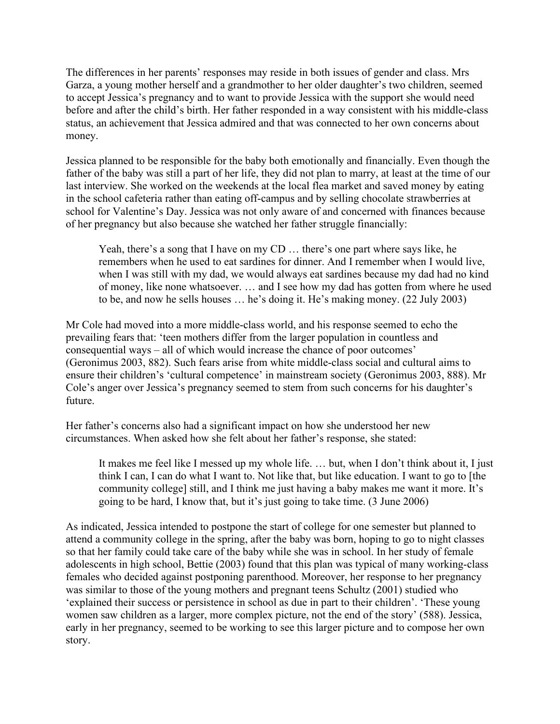The differences in her parents' responses may reside in both issues of gender and class. Mrs Garza, a young mother herself and a grandmother to her older daughter's two children, seemed to accept Jessica's pregnancy and to want to provide Jessica with the support she would need before and after the child's birth. Her father responded in a way consistent with his middle-class status, an achievement that Jessica admired and that was connected to her own concerns about money.

Jessica planned to be responsible for the baby both emotionally and financially. Even though the father of the baby was still a part of her life, they did not plan to marry, at least at the time of our last interview. She worked on the weekends at the local flea market and saved money by eating in the school cafeteria rather than eating off‐campus and by selling chocolate strawberries at school for Valentine's Day. Jessica was not only aware of and concerned with finances because of her pregnancy but also because she watched her father struggle financially:

Yeah, there's a song that I have on my CD … there's one part where says like, he remembers when he used to eat sardines for dinner. And I remember when I would live, when I was still with my dad, we would always eat sardines because my dad had no kind of money, like none whatsoever. … and I see how my dad has gotten from where he used to be, and now he sells houses … he's doing it. He's making money. (22 July 2003)

Mr Cole had moved into a more middle‐class world, and his response seemed to echo the prevailing fears that: 'teen mothers differ from the larger population in countless and consequential ways – all of which would increase the chance of poor outcomes' (Geronimus 2003, 882). Such fears arise from white middle‐class social and cultural aims to ensure their children's 'cultural competence' in mainstream society (Geronimus 2003, 888). Mr Cole's anger over Jessica's pregnancy seemed to stem from such concerns for his daughter's future.

Her father's concerns also had a significant impact on how she understood her new circumstances. When asked how she felt about her father's response, she stated:

It makes me feel like I messed up my whole life. … but, when I don't think about it, I just think I can, I can do what I want to. Not like that, but like education. I want to go to [the community college] still, and I think me just having a baby makes me want it more. It's going to be hard, I know that, but it's just going to take time. (3 June 2006)

As indicated, Jessica intended to postpone the start of college for one semester but planned to attend a community college in the spring, after the baby was born, hoping to go to night classes so that her family could take care of the baby while she was in school. In her study of female adolescents in high school, Bettie (2003) found that this plan was typical of many working‐class females who decided against postponing parenthood. Moreover, her response to her pregnancy was similar to those of the young mothers and pregnant teens Schultz (2001) studied who 'explained their success or persistence in school as due in part to their children'. 'These young women saw children as a larger, more complex picture, not the end of the story' (588). Jessica, early in her pregnancy, seemed to be working to see this larger picture and to compose her own story.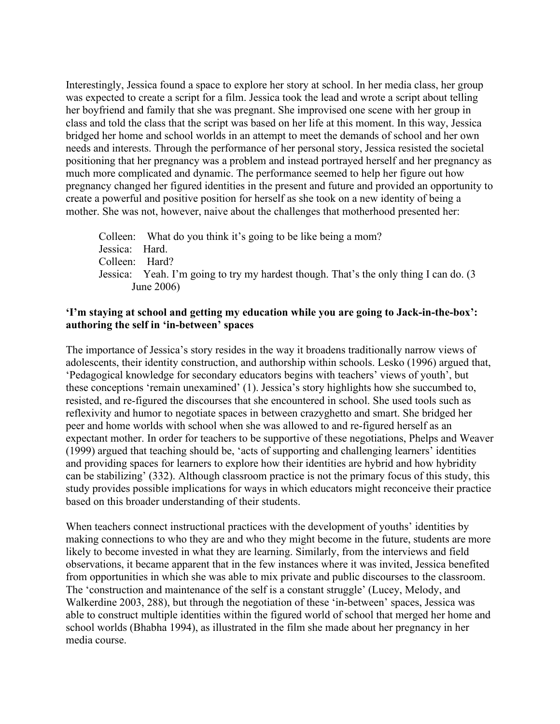Interestingly, Jessica found a space to explore her story at school. In her media class, her group was expected to create a script for a film. Jessica took the lead and wrote a script about telling her boyfriend and family that she was pregnant. She improvised one scene with her group in class and told the class that the script was based on her life at this moment. In this way, Jessica bridged her home and school worlds in an attempt to meet the demands of school and her own needs and interests. Through the performance of her personal story, Jessica resisted the societal positioning that her pregnancy was a problem and instead portrayed herself and her pregnancy as much more complicated and dynamic. The performance seemed to help her figure out how pregnancy changed her figured identities in the present and future and provided an opportunity to create a powerful and positive position for herself as she took on a new identity of being a mother. She was not, however, naive about the challenges that motherhood presented her:

Colleen: What do you think it's going to be like being a mom? Jessica: Hard. Colleen: Hard? Jessica: Yeah. I'm going to try my hardest though. That's the only thing I can do. (3 June 2006)

# **'I'm staying at school and getting my education while you are going to Jack‐in‐the‐box': authoring the self in 'in‐between' spaces**

The importance of Jessica's story resides in the way it broadens traditionally narrow views of adolescents, their identity construction, and authorship within schools. Lesko (1996) argued that, 'Pedagogical knowledge for secondary educators begins with teachers' views of youth', but these conceptions 'remain unexamined' (1). Jessica's story highlights how she succumbed to, resisted, and re‐figured the discourses that she encountered in school. She used tools such as reflexivity and humor to negotiate spaces in between crazyghetto and smart. She bridged her peer and home worlds with school when she was allowed to and re‐figured herself as an expectant mother. In order for teachers to be supportive of these negotiations, Phelps and Weaver (1999) argued that teaching should be, 'acts of supporting and challenging learners' identities and providing spaces for learners to explore how their identities are hybrid and how hybridity can be stabilizing' (332). Although classroom practice is not the primary focus of this study, this study provides possible implications for ways in which educators might reconceive their practice based on this broader understanding of their students.

When teachers connect instructional practices with the development of youths' identities by making connections to who they are and who they might become in the future, students are more likely to become invested in what they are learning. Similarly, from the interviews and field observations, it became apparent that in the few instances where it was invited, Jessica benefited from opportunities in which she was able to mix private and public discourses to the classroom. The 'construction and maintenance of the self is a constant struggle' (Lucey, Melody, and Walkerdine 2003, 288), but through the negotiation of these 'in-between' spaces, Jessica was able to construct multiple identities within the figured world of school that merged her home and school worlds (Bhabha 1994), as illustrated in the film she made about her pregnancy in her media course.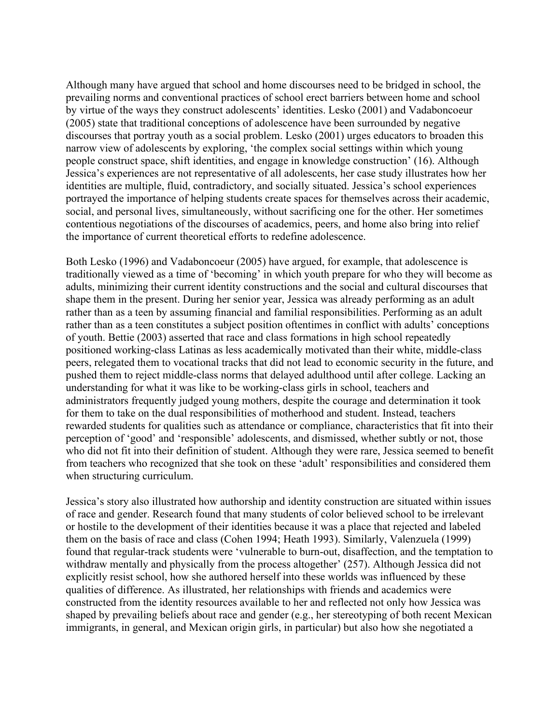Although many have argued that school and home discourses need to be bridged in school, the prevailing norms and conventional practices of school erect barriers between home and school by virtue of the ways they construct adolescents' identities. Lesko (2001) and Vadaboncoeur (2005) state that traditional conceptions of adolescence have been surrounded by negative discourses that portray youth as a social problem. Lesko (2001) urges educators to broaden this narrow view of adolescents by exploring, 'the complex social settings within which young people construct space, shift identities, and engage in knowledge construction' (16). Although Jessica's experiences are not representative of all adolescents, her case study illustrates how her identities are multiple, fluid, contradictory, and socially situated. Jessica's school experiences portrayed the importance of helping students create spaces for themselves across their academic, social, and personal lives, simultaneously, without sacrificing one for the other. Her sometimes contentious negotiations of the discourses of academics, peers, and home also bring into relief the importance of current theoretical efforts to redefine adolescence.

Both Lesko (1996) and Vadaboncoeur (2005) have argued, for example, that adolescence is traditionally viewed as a time of 'becoming' in which youth prepare for who they will become as adults, minimizing their current identity constructions and the social and cultural discourses that shape them in the present. During her senior year, Jessica was already performing as an adult rather than as a teen by assuming financial and familial responsibilities. Performing as an adult rather than as a teen constitutes a subject position oftentimes in conflict with adults' conceptions of youth. Bettie (2003) asserted that race and class formations in high school repeatedly positioned working‐class Latinas as less academically motivated than their white, middle‐class peers, relegated them to vocational tracks that did not lead to economic security in the future, and pushed them to reject middle‐class norms that delayed adulthood until after college. Lacking an understanding for what it was like to be working‐class girls in school, teachers and administrators frequently judged young mothers, despite the courage and determination it took for them to take on the dual responsibilities of motherhood and student. Instead, teachers rewarded students for qualities such as attendance or compliance, characteristics that fit into their perception of 'good' and 'responsible' adolescents, and dismissed, whether subtly or not, those who did not fit into their definition of student. Although they were rare, Jessica seemed to benefit from teachers who recognized that she took on these 'adult' responsibilities and considered them when structuring curriculum.

Jessica's story also illustrated how authorship and identity construction are situated within issues of race and gender. Research found that many students of color believed school to be irrelevant or hostile to the development of their identities because it was a place that rejected and labeled them on the basis of race and class (Cohen 1994; Heath 1993). Similarly, Valenzuela (1999) found that regular-track students were 'vulnerable to burn-out, disaffection, and the temptation to withdraw mentally and physically from the process altogether' (257). Although Jessica did not explicitly resist school, how she authored herself into these worlds was influenced by these qualities of difference. As illustrated, her relationships with friends and academics were constructed from the identity resources available to her and reflected not only how Jessica was shaped by prevailing beliefs about race and gender (e.g., her stereotyping of both recent Mexican immigrants, in general, and Mexican origin girls, in particular) but also how she negotiated a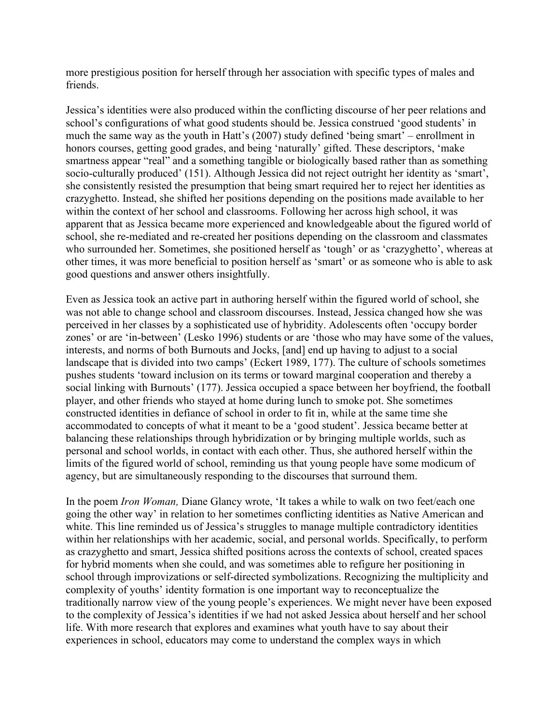more prestigious position for herself through her association with specific types of males and friends.

Jessica's identities were also produced within the conflicting discourse of her peer relations and school's configurations of what good students should be. Jessica construed 'good students' in much the same way as the youth in Hatt's (2007) study defined 'being smart' – enrollment in honors courses, getting good grades, and being 'naturally' gifted. These descriptors, 'make smartness appear "real" and a something tangible or biologically based rather than as something socio-culturally produced' (151). Although Jessica did not reject outright her identity as 'smart', she consistently resisted the presumption that being smart required her to reject her identities as crazyghetto. Instead, she shifted her positions depending on the positions made available to her within the context of her school and classrooms. Following her across high school, it was apparent that as Jessica became more experienced and knowledgeable about the figured world of school, she re-mediated and re-created her positions depending on the classroom and classmates who surrounded her. Sometimes, she positioned herself as 'tough' or as 'crazyghetto', whereas at other times, it was more beneficial to position herself as 'smart' or as someone who is able to ask good questions and answer others insightfully.

Even as Jessica took an active part in authoring herself within the figured world of school, she was not able to change school and classroom discourses. Instead, Jessica changed how she was perceived in her classes by a sophisticated use of hybridity. Adolescents often 'occupy border zones' or are 'in-between' (Lesko 1996) students or are 'those who may have some of the values, interests, and norms of both Burnouts and Jocks, [and] end up having to adjust to a social landscape that is divided into two camps' (Eckert 1989, 177). The culture of schools sometimes pushes students 'toward inclusion on its terms or toward marginal cooperation and thereby a social linking with Burnouts' (177). Jessica occupied a space between her boyfriend, the football player, and other friends who stayed at home during lunch to smoke pot. She sometimes constructed identities in defiance of school in order to fit in, while at the same time she accommodated to concepts of what it meant to be a 'good student'. Jessica became better at balancing these relationships through hybridization or by bringing multiple worlds, such as personal and school worlds, in contact with each other. Thus, she authored herself within the limits of the figured world of school, reminding us that young people have some modicum of agency, but are simultaneously responding to the discourses that surround them.

In the poem *Iron Woman,* Diane Glancy wrote, 'It takes a while to walk on two feet/each one going the other way' in relation to her sometimes conflicting identities as Native American and white. This line reminded us of Jessica's struggles to manage multiple contradictory identities within her relationships with her academic, social, and personal worlds. Specifically, to perform as crazyghetto and smart, Jessica shifted positions across the contexts of school, created spaces for hybrid moments when she could, and was sometimes able to refigure her positioning in school through improvizations or self‐directed symbolizations. Recognizing the multiplicity and complexity of youths' identity formation is one important way to reconceptualize the traditionally narrow view of the young people's experiences. We might never have been exposed to the complexity of Jessica's identities if we had not asked Jessica about herself and her school life. With more research that explores and examines what youth have to say about their experiences in school, educators may come to understand the complex ways in which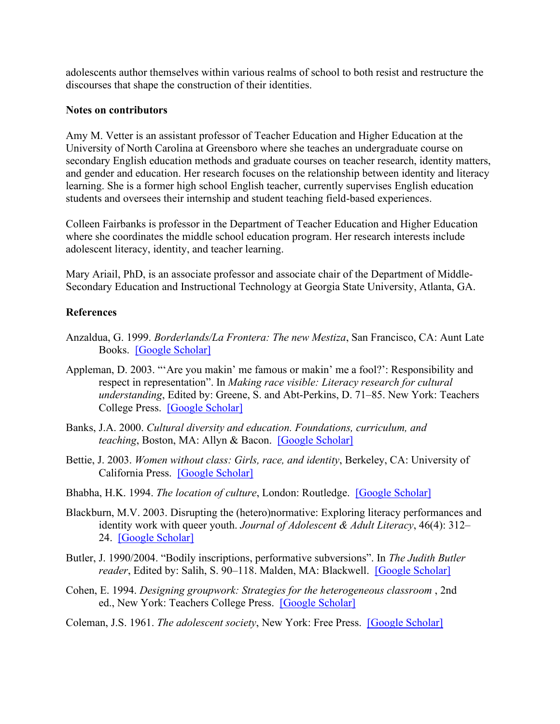adolescents author themselves within various realms of school to both resist and restructure the discourses that shape the construction of their identities.

### **Notes on contributors**

Amy M. Vetter is an assistant professor of Teacher Education and Higher Education at the University of North Carolina at Greensboro where she teaches an undergraduate course on secondary English education methods and graduate courses on teacher research, identity matters, and gender and education. Her research focuses on the relationship between identity and literacy learning. She is a former high school English teacher, currently supervises English education students and oversees their internship and student teaching field‐based experiences.

Colleen Fairbanks is professor in the Department of Teacher Education and Higher Education where she coordinates the middle school education program. Her research interests include adolescent literacy, identity, and teacher learning.

Mary Ariail, PhD, is an associate professor and associate chair of the Department of Middle‐ Secondary Education and Instructional Technology at Georgia State University, Atlanta, GA.

### **References**

- Anzaldua, G. 1999. *Borderlands/La Frontera: The new Mestiza*, San Francisco, CA: Aunt Late Books. [\[Google Scholar\]](http://scholar.google.com/scholar_lookup?hl=en&publication_year=1999&author=G.+Anzaldua&title=+Borderlands%2FLa+Frontera%3A+The+new+Mestiza+)
- Appleman, D. 2003. "'Are you makin' me famous or makin' me a fool?': Responsibility and respect in representation". In *Making race visible: Literacy research for cultural understanding*, Edited by: Greene, S. and Abt‐Perkins, D. 71–85. New York: Teachers College Press. [\[Google Scholar\]](http://scholar.google.com/scholar_lookup?hl=en&publication_year=2003&pages=71-85&author=D.+Appleman&title=+Making+race+visible%3A+Literacy+research+for+cultural+understanding+)
- Banks, J.A. 2000. *Cultural diversity and education. Foundations, curriculum, and teaching*, Boston, MA: Allyn & Bacon. [\[Google Scholar\]](http://scholar.google.com/scholar_lookup?hl=en&publication_year=2000&author=J.A.+Banks&title=+Cultural+diversity+and+education.+Foundations%2C+curriculum%2C+and+teaching+)
- Bettie, J. 2003. *Women without class: Girls, race, and identity*, Berkeley, CA: University of California Press. [\[Google Scholar\]](http://scholar.google.com/scholar_lookup?hl=en&publication_year=2003&author=J.+Bettie&title=+Women+without+class%3A+Girls%2C+race%2C+and+identity+)
- Bhabha, H.K. 1994. *The location of culture*, London: Routledge. *[\[Google Scholar\]](http://scholar.google.com/scholar_lookup?hl=en&publication_year=1994&author=H.K.+Bhabha&title=+The+location+of+culture+)*
- Blackburn, M.V. 2003. Disrupting the (hetero)normative: Exploring literacy performances and identity work with queer youth. *Journal of Adolescent & Adult Literacy*, 46(4): 312– 24. [\[Google Scholar\]](http://scholar.google.com/scholar_lookup?hl=en&volume=46&publication_year=2003&pages=312-24&issue=4&author=M.V.+Blackburn&title=Disrupting+the+%28hetero%29normative%3A+Exploring+literacy+performances+and+identity+work+with+queer+youth)
- Butler, J. 1990/2004. "Bodily inscriptions, performative subversions". In *The Judith Butler reader*, Edited by: Salih, S. 90–118. Malden, MA: Blackwell. [\[Google Scholar\]](http://scholar.google.com/scholar_lookup?hl=en&publication_year=1990%2F2004&pages=90-118&author=J.+Butler&title=+The+Judith+Butler+reader+)
- Cohen, E. 1994. *Designing groupwork: Strategies for the heterogeneous classroom* , 2nd ed., New York: Teachers College Press. [\[Google Scholar\]](http://scholar.google.com/scholar_lookup?hl=en&publication_year=1994&author=E.+Cohen&title=+Designing+groupwork%3A+Strategies+for+the+heterogeneous+classroom++)
- Coleman, J.S. 1961. *The adolescent society*, New York: Free Press. [\[Google Scholar\]](http://scholar.google.com/scholar_lookup?hl=en&publication_year=1961&author=J.S.+Coleman&title=+The+adolescent+society+)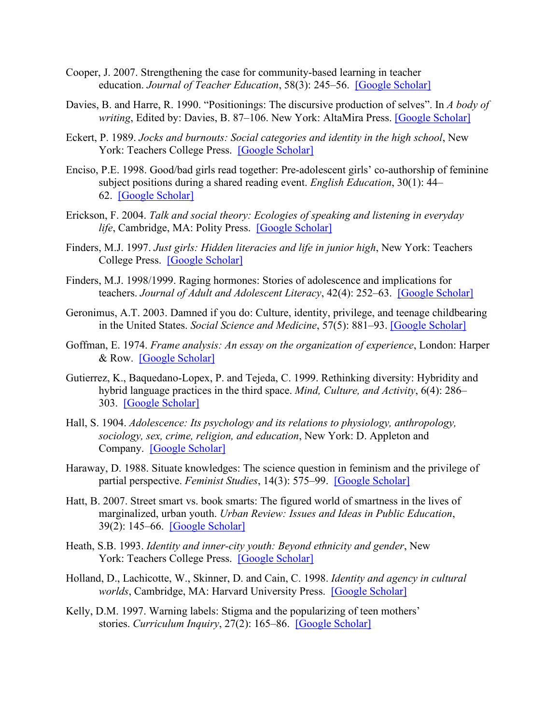- Cooper, J. 2007. Strengthening the case for community‐based learning in teacher education. *Journal of Teacher Education*, 58(3): 245–56. [\[Google Scholar\]](http://scholar.google.com/scholar_lookup?hl=en&volume=58&publication_year=2007&pages=245-56&issue=3&author=J.+Cooper&title=Strengthening+the+case+for+community%E2%80%90based+learning+in+teacher+education)
- Davies, B. and Harre, R. 1990. "Positionings: The discursive production of selves". In *A body of writing*, Edited by: Davies, B. 87–106. New York: AltaMira Press. [\[Google Scholar\]](http://scholar.google.com/scholar_lookup?hl=en&publication_year=1990&pages=87-106&author=B.+Davies&author=R.+Harre&title=+A+body+of+writing+)
- Eckert, P. 1989. *Jocks and burnouts: Social categories and identity in the high school*, New York: Teachers College Press. [\[Google Scholar\]](http://scholar.google.com/scholar_lookup?hl=en&publication_year=1989&author=P.+Eckert&title=+Jocks+and+burnouts%3A+Social+categories+and+identity+in+the+high+school+)
- Enciso, P.E. 1998. Good/bad girls read together: Pre-adolescent girls' co-authorship of feminine subject positions during a shared reading event. *English Education*, 30(1): 44– 62. [\[Google Scholar\]](http://scholar.google.com/scholar_lookup?hl=en&volume=30&publication_year=1998&pages=44-62&issue=1&author=P.E.+Enciso&title=Good%2Fbad+girls+read+together%3A+Pre%E2%80%90adolescent+girls%E2%80%99+co%E2%80%90authorship+of+feminine+subject+positions+during+a+shared+reading+event)
- Erickson, F. 2004. *Talk and social theory: Ecologies of speaking and listening in everyday life*, Cambridge, MA: Polity Press. [\[Google Scholar\]](http://scholar.google.com/scholar_lookup?hl=en&publication_year=2004&author=F.+Erickson&title=+Talk+and+social+theory%3A+Ecologies+of+speaking+and+listening+in+everyday+life+)
- Finders, M.J. 1997. *Just girls: Hidden literacies and life in junior high*, New York: Teachers College Press. [\[Google Scholar\]](http://scholar.google.com/scholar_lookup?hl=en&publication_year=1997&author=M.J.+Finders&title=+Just+girls%3A+Hidden+literacies+and+life+in+junior+high+)
- Finders, M.J. 1998/1999. Raging hormones: Stories of adolescence and implications for teachers. *Journal of Adult and Adolescent Literacy*, 42(4): 252–63. [\[Google Scholar\]](http://scholar.google.com/scholar_lookup?hl=en&volume=42&publication_year=1998%2F1999&pages=252-63&issue=4&author=M.J.+Finders&title=Raging+hormones%3A+Stories+of+adolescence+and+implications+for+teachers)
- Geronimus, A.T. 2003. Damned if you do: Culture, identity, privilege, and teenage childbearing in the United States. *Social Science and Medicine*, 57(5): 881–93. [\[Google Scholar\]](http://scholar.google.com/scholar_lookup?hl=en&volume=57&publication_year=2003&pages=881-93&issue=5&author=A.T.+Geronimus&title=Damned+if+you+do%3A+Culture%2C+identity%2C+privilege%2C+and+teenage+childbearing+in+the+United+States)
- Goffman, E. 1974. *Frame analysis: An essay on the organization of experience*, London: Harper & Row. [\[Google Scholar\]](http://scholar.google.com/scholar_lookup?hl=en&publication_year=1974&author=E.+Goffman&title=+Frame+analysis%3A+An+essay+on+the+organization+of+experience+)
- Gutierrez, K., Baquedano‐Lopex, P. and Tejeda, C. 1999. Rethinking diversity: Hybridity and hybrid language practices in the third space. *Mind, Culture, and Activity*, 6(4): 286– 303. [\[Google Scholar\]](http://scholar.google.com/scholar_lookup?hl=en&volume=6&publication_year=1999&pages=286-303&issue=4&author=K.+Gutierrez&author=P.+Baquedano%E2%80%90Lopex&author=C.+Tejeda&title=Rethinking+diversity%3A+Hybridity+and+hybrid+language+practices+in+the+third+space)
- Hall, S. 1904. *Adolescence: Its psychology and its relations to physiology, anthropology, sociology, sex, crime, religion, and education*, New York: D. Appleton and Company. [\[Google Scholar\]](http://scholar.google.com/scholar_lookup?hl=en&publication_year=1904&author=S.+Hall&title=+Adolescence%3A+Its+psychology+and+its+relations+to+physiology%2C+anthropology%2C+sociology%2C+sex%2C+crime%2C+religion%2C+and+education+)
- Haraway, D. 1988. Situate knowledges: The science question in feminism and the privilege of partial perspective. *Feminist Studies*, 14(3): 575–99. [\[Google Scholar\]](http://scholar.google.com/scholar_lookup?hl=en&volume=14&publication_year=1988&pages=575-99&issue=3&author=D.+Haraway&title=Situate+knowledges%3A+The+science+question+in+feminism+and+the+privilege+of+partial+perspective)
- Hatt, B. 2007. Street smart vs. book smarts: The figured world of smartness in the lives of marginalized, urban youth. *Urban Review: Issues and Ideas in Public Education*, 39(2): 145–66. [\[Google Scholar\]](http://scholar.google.com/scholar_lookup?hl=en&volume=39&publication_year=2007&pages=145-66&issue=2&author=B.+Hatt&title=Street+smart+vs.+book+smarts%3A+The+figured+world+of+smartness+in+the+lives+of+marginalized%2C+urban+youth)
- Heath, S.B. 1993. *Identity and inner‐city youth: Beyond ethnicity and gender*, New York: Teachers College Press. [\[Google Scholar\]](http://scholar.google.com/scholar_lookup?hl=en&publication_year=1993&author=S.B.+Heath&title=+Identity+and+inner%E2%80%90city+youth%3A+Beyond+ethnicity+and+gender+)
- Holland, D., Lachicotte, W., Skinner, D. and Cain, C. 1998. *Identity and agency in cultural worlds*, Cambridge, MA: Harvard University Press. [\[Google Scholar\]](http://scholar.google.com/scholar_lookup?hl=en&publication_year=1998&author=D.+Holland&author=W.+Lachicotte&author=D.+Skinner&author=C.+Cain&title=+Identity+and+agency+in+cultural+worlds+)
- Kelly, D.M. 1997. Warning labels: Stigma and the popularizing of teen mothers' stories. *Curriculum Inquiry*, 27(2): 165–86. [\[Google Scholar\]](http://scholar.google.com/scholar_lookup?hl=en&volume=27&publication_year=1997&pages=165-86&issue=2&author=D.M.+Kelly&title=Warning+labels%3A+Stigma+and+the+popularizing+of+teen+mothers%E2%80%99+stories)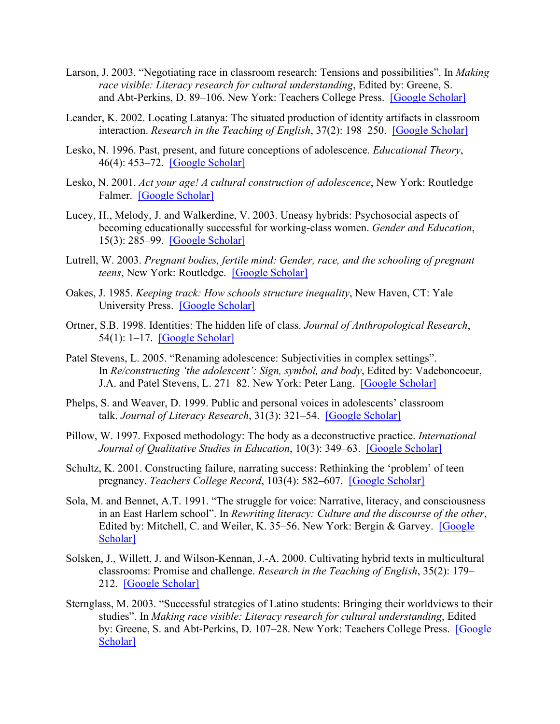- Larson, J. 2003. "Negotiating race in classroom research: Tensions and possibilities". In *Making race visible: Literacy research for cultural understanding*, Edited by: Greene, S. and Abt‐Perkins, D. 89–106. New York: Teachers College Press. [\[Google Scholar\]](http://scholar.google.com/scholar_lookup?hl=en&publication_year=2003&pages=89-106&author=J.+Larson&title=+Making+race+visible%3A+Literacy+research+for+cultural+understanding+)
- Leander, K. 2002. Locating Latanya: The situated production of identity artifacts in classroom interaction. *Research in the Teaching of English*, 37(2): 198–250. [\[Google Scholar\]](http://scholar.google.com/scholar_lookup?hl=en&volume=37&publication_year=2002&pages=198-250&issue=2&author=K.+Leander&title=Locating+Latanya%3A+The+situated+production+of+identity+artifacts+in+classroom+interaction)
- Lesko, N. 1996. Past, present, and future conceptions of adolescence. *Educational Theory*, 46(4): 453–72. [\[Google Scholar\]](http://scholar.google.com/scholar_lookup?hl=en&volume=46&publication_year=1996&pages=453-72&issue=4&author=N.+Lesko&title=Past%2C+present%2C+and+future+conceptions+of+adolescence)
- Lesko, N. 2001. *Act your age! A cultural construction of adolescence*, New York: Routledge Falmer. [\[Google Scholar\]](http://scholar.google.com/scholar_lookup?hl=en&publication_year=2001&author=N.+Lesko&title=+Act+your+age%21+A+cultural+construction+of+adolescence+)
- Lucey, H., Melody, J. and Walkerdine, V. 2003. Uneasy hybrids: Psychosocial aspects of becoming educationally successful for working‐class women. *Gender and Education*, 15(3): 285–99. [\[Google Scholar\]](http://scholar.google.com/scholar_lookup?hl=en&volume=15&publication_year=2003&pages=285-99&issue=3&author=H.+Lucey&author=J.+Melody&author=V.+Walkerdine&title=Uneasy+hybrids%3A+Psychosocial+aspects+of+becoming+educationally+successful+for+working%E2%80%90class+women)
- Lutrell, W. 2003. *Pregnant bodies, fertile mind: Gender, race, and the schooling of pregnant teens*, New York: Routledge. [\[Google Scholar\]](http://scholar.google.com/scholar_lookup?hl=en&publication_year=2003&author=W.+Lutrell&title=+Pregnant+bodies%2C+fertile+mind%3A+Gender%2C+race%2C+and+the+schooling+of+pregnant+teens+)
- Oakes, J. 1985. *Keeping track: How schools structure inequality*, New Haven, CT: Yale University Press. [\[Google Scholar\]](http://scholar.google.com/scholar_lookup?hl=en&publication_year=1985&author=J.+Oakes&title=+Keeping+track%3A+How+schools+structure+inequality+)
- Ortner, S.B. 1998. Identities: The hidden life of class. *Journal of Anthropological Research*, 54(1): 1–17. [\[Google Scholar\]](http://scholar.google.com/scholar_lookup?hl=en&volume=54&publication_year=1998&pages=1-17&issue=1&author=S.B.+Ortner&title=Identities%3A+The+hidden+life+of+class)
- Patel Stevens, L. 2005. "Renaming adolescence: Subjectivities in complex settings". In *Re/constructing 'the adolescent': Sign, symbol, and body*, Edited by: Vadeboncoeur, J.A. and Patel Stevens, L. 271–82. New York: Peter Lang. [\[Google Scholar\]](http://scholar.google.com/scholar_lookup?hl=en&publication_year=2005&pages=271-82&author=L.+Patel+Stevens&title=+Re%2Fconstructing+%E2%80%98the+adolescent%E2%80%99%3A+Sign%2C+symbol%2C+and+body+)
- Phelps, S. and Weaver, D. 1999. Public and personal voices in adolescents' classroom talk. *Journal of Literacy Research*, 31(3): 321–54. [\[Google Scholar\]](http://scholar.google.com/scholar_lookup?hl=en&volume=31&publication_year=1999&pages=321-54&issue=3&author=S.+Phelps&author=D.+Weaver&title=Public+and+personal+voices+in+adolescents%E2%80%99+classroom+talk)
- Pillow, W. 1997. Exposed methodology: The body as a deconstructive practice. *International Journal of Qualitative Studies in Education*, 10(3): 349–63. [\[Google Scholar\]](http://scholar.google.com/scholar_lookup?hl=en&volume=10&publication_year=1997&pages=349-63&issue=3&author=W.+Pillow&title=Exposed+methodology%3A+The+body+as+a+deconstructive+practice)
- Schultz, K. 2001. Constructing failure, narrating success: Rethinking the 'problem' of teen pregnancy. *Teachers College Record*, 103(4): 582–607. [\[Google Scholar\]](http://scholar.google.com/scholar_lookup?hl=en&volume=103&publication_year=2001&pages=582-607&issue=4&author=K.+Schultz&title=Constructing+failure%2C+narrating+success%3A+Rethinking+the+%E2%80%98problem%E2%80%99+of+teen+pregnancy)
- Sola, M. and Bennet, A.T. 1991. "The struggle for voice: Narrative, literacy, and consciousness in an East Harlem school". In *Rewriting literacy: Culture and the discourse of the other*, Edited by: Mitchell, C. and Weiler, K. 35–56. New York: Bergin & Garvey. [\[Google](http://scholar.google.com/scholar_lookup?hl=en&publication_year=1991&pages=35-56&author=M.+Sola&author=A.T.+Bennet&title=+Rewriting+literacy%3A+Culture+and+the+discourse+of+the+other+)  [Scholar\]](http://scholar.google.com/scholar_lookup?hl=en&publication_year=1991&pages=35-56&author=M.+Sola&author=A.T.+Bennet&title=+Rewriting+literacy%3A+Culture+and+the+discourse+of+the+other+)
- Solsken, J., Willett, J. and Wilson‐Kennan, J.‐A. 2000. Cultivating hybrid texts in multicultural classrooms: Promise and challenge. *Research in the Teaching of English*, 35(2): 179– 212. [\[Google Scholar\]](http://scholar.google.com/scholar_lookup?hl=en&volume=35&publication_year=2000&pages=179-212&issue=2&author=J.+Solsken&author=J.+Willett&author=J.%E2%80%90A.+Wilson%E2%80%90Kennan&title=Cultivating+hybrid+texts+in+multicultural+classrooms%3A+Promise+and+challenge)
- Sternglass, M. 2003. "Successful strategies of Latino students: Bringing their worldviews to their studies". In *Making race visible: Literacy research for cultural understanding*, Edited by: Greene, S. and Abt-Perkins, D. 107–28. New York: Teachers College Press. [Google [Scholar\]](http://scholar.google.com/scholar_lookup?hl=en&publication_year=2003&pages=107-28&author=M.+Sternglass&title=+Making+race+visible%3A+Literacy+research+for+cultural+understanding+)